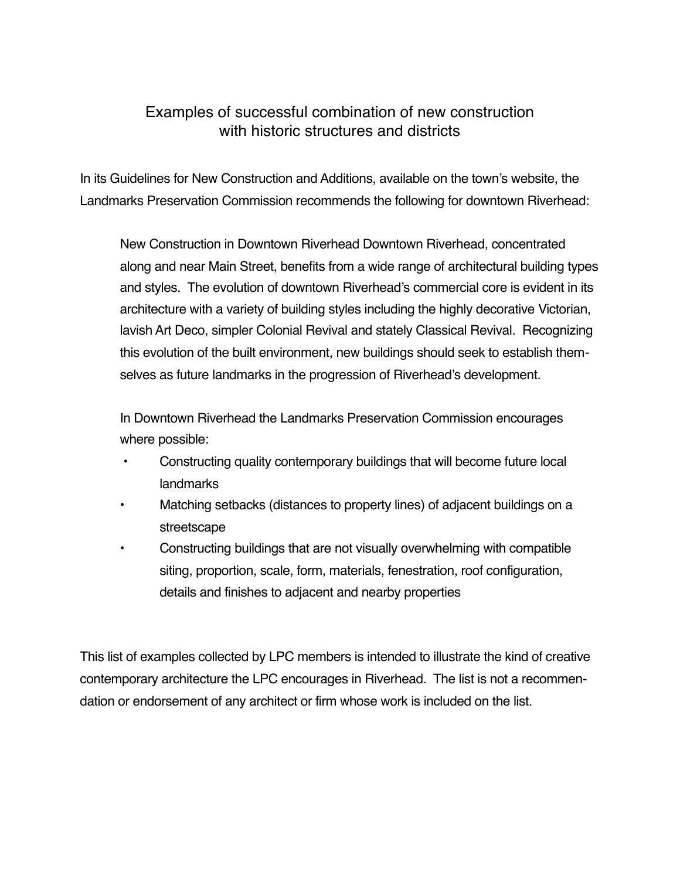## Examples of successful combination of new construction with historic structures and districts

In its Guidelines for New Construction and Additions, available on the town's website, the Landmarks Preservation Commission recommends the following for downtown Riverhead:

New Construction in Downtown Riverhead Downtown Riverhead, concentrated along and near Main Street, benefits from a wide range of architectural building types and styles. The evolution of downtown Riverhead's commercial core is evident in its architecture with a variety of building styles including the highly decorative Victorian, lavish Art Deco, simpler Colonial Revival and stately Classical Revival. Recognizing this evolution of the built environment, new buildings should seek to establish themselves as future landmarks in the progression of Riverhead's development.

In Downtown Riverhead the Landmarks Preservation Commission encourages where possible:

- Constructing quality contemporary buildings that will become future local landmarks
- Matching setbacks (distances to property lines) of adjacent buildings on a streetscape
- Constructing buildings that are not visually overwhelming with compatible siting, proportion, scale, form, materials, fenestration, roof configuration, details and finishes to adjacent and nearby properties

This list of examples collected by LPC members is intended to illustrate the kind of creative contemporary architecture the LPC encourages in Riverhead. The list is not a recommendation or endorsement of any architect or firm whose work is included on the list.